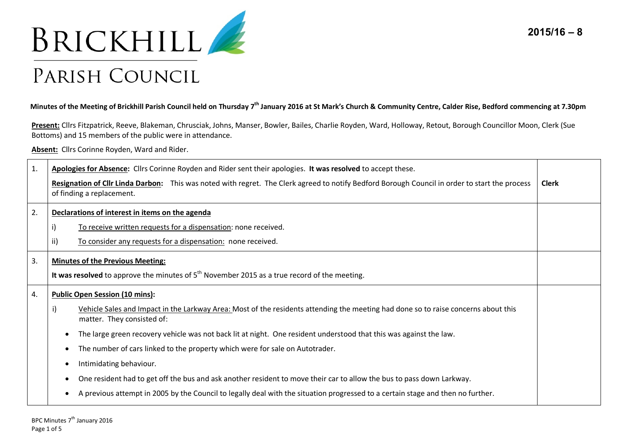

## PARISH COUNCIL

## **Minutes of the Meeting of Brickhill Parish Council held on Thursday 7th January 2016 at St Mark's Church & Community Centre, Calder Rise, Bedford commencing at 7.30pm**

**Present:** Cllrs Fitzpatrick, Reeve, Blakeman, Chrusciak, Johns, Manser, Bowler, Bailes, Charlie Royden, Ward, Holloway, Retout, Borough Councillor Moon, Clerk (Sue Bottoms) and 15 members of the public were in attendance.

**Absent:** Cllrs Corinne Royden, Ward and Rider.

| 1. | Apologies for Absence: Cllrs Corinne Royden and Rider sent their apologies. It was resolved to accept these.                                                                |              |  |
|----|-----------------------------------------------------------------------------------------------------------------------------------------------------------------------------|--------------|--|
|    | Resignation of Cllr Linda Darbon: This was noted with regret. The Clerk agreed to notify Bedford Borough Council in order to start the process<br>of finding a replacement. | <b>Clerk</b> |  |
| 2. | Declarations of interest in items on the agenda                                                                                                                             |              |  |
|    | i)<br>To receive written requests for a dispensation: none received.                                                                                                        |              |  |
|    | ii)<br>To consider any requests for a dispensation: none received.                                                                                                          |              |  |
| 3. | <b>Minutes of the Previous Meeting:</b>                                                                                                                                     |              |  |
|    | It was resolved to approve the minutes of $5th$ November 2015 as a true record of the meeting.                                                                              |              |  |
| 4. | <b>Public Open Session (10 mins):</b>                                                                                                                                       |              |  |
|    | Vehicle Sales and Impact in the Larkway Area: Most of the residents attending the meeting had done so to raise concerns about this<br>matter. They consisted of:            |              |  |
|    | The large green recovery vehicle was not back lit at night. One resident understood that this was against the law.                                                          |              |  |
|    | The number of cars linked to the property which were for sale on Autotrader.<br>$\bullet$                                                                                   |              |  |
|    | Intimidating behaviour.                                                                                                                                                     |              |  |
|    | One resident had to get off the bus and ask another resident to move their car to allow the bus to pass down Larkway.                                                       |              |  |
|    | A previous attempt in 2005 by the Council to legally deal with the situation progressed to a certain stage and then no further.                                             |              |  |

**2015/16 – 8**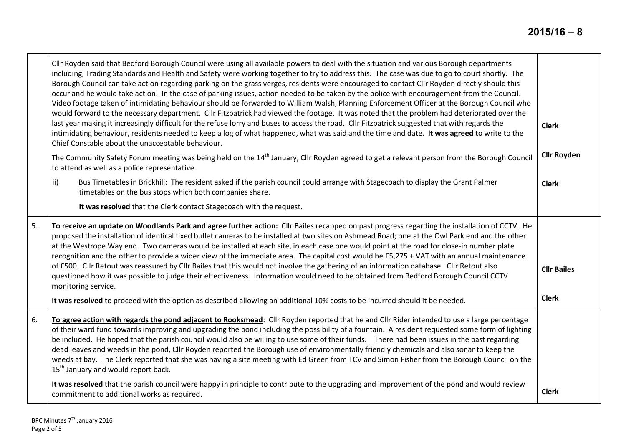┯

|    | Cllr Royden said that Bedford Borough Council were using all available powers to deal with the situation and various Borough departments<br>including, Trading Standards and Health and Safety were working together to try to address this. The case was due to go to court shortly. The<br>Borough Council can take action regarding parking on the grass verges, residents were encouraged to contact Cllr Royden directly should this<br>occur and he would take action. In the case of parking issues, action needed to be taken by the police with encouragement from the Council.<br>Video footage taken of intimidating behaviour should be forwarded to William Walsh, Planning Enforcement Officer at the Borough Council who<br>would forward to the necessary department. Cllr Fitzpatrick had viewed the footage. It was noted that the problem had deteriorated over the<br>last year making it increasingly difficult for the refuse lorry and buses to access the road. Cllr Fitzpatrick suggested that with regards the<br>intimidating behaviour, residents needed to keep a log of what happened, what was said and the time and date. It was agreed to write to the<br>Chief Constable about the unacceptable behaviour. | <b>Clerk</b>                       |
|----|----------------------------------------------------------------------------------------------------------------------------------------------------------------------------------------------------------------------------------------------------------------------------------------------------------------------------------------------------------------------------------------------------------------------------------------------------------------------------------------------------------------------------------------------------------------------------------------------------------------------------------------------------------------------------------------------------------------------------------------------------------------------------------------------------------------------------------------------------------------------------------------------------------------------------------------------------------------------------------------------------------------------------------------------------------------------------------------------------------------------------------------------------------------------------------------------------------------------------------------------|------------------------------------|
|    | The Community Safety Forum meeting was being held on the 14 <sup>th</sup> January, Cllr Royden agreed to get a relevant person from the Borough Council<br>to attend as well as a police representative.                                                                                                                                                                                                                                                                                                                                                                                                                                                                                                                                                                                                                                                                                                                                                                                                                                                                                                                                                                                                                                     | <b>Cllr Royden</b>                 |
|    | Bus Timetables in Brickhill: The resident asked if the parish council could arrange with Stagecoach to display the Grant Palmer<br>ii)<br>timetables on the bus stops which both companies share.                                                                                                                                                                                                                                                                                                                                                                                                                                                                                                                                                                                                                                                                                                                                                                                                                                                                                                                                                                                                                                            | <b>Clerk</b>                       |
|    | It was resolved that the Clerk contact Stagecoach with the request.                                                                                                                                                                                                                                                                                                                                                                                                                                                                                                                                                                                                                                                                                                                                                                                                                                                                                                                                                                                                                                                                                                                                                                          |                                    |
| 5. | To receive an update on Woodlands Park and agree further action: Cllr Bailes recapped on past progress regarding the installation of CCTV. He<br>proposed the installation of identical fixed bullet cameras to be installed at two sites on Ashmead Road; one at the Owl Park end and the other<br>at the Westrope Way end. Two cameras would be installed at each site, in each case one would point at the road for close-in number plate<br>recognition and the other to provide a wider view of the immediate area. The capital cost would be £5,275 + VAT with an annual maintenance<br>of £500. Cllr Retout was reassured by Cllr Bailes that this would not involve the gathering of an information database. Cllr Retout also<br>questioned how it was possible to judge their effectiveness. Information would need to be obtained from Bedford Borough Council CCTV<br>monitoring service.<br>It was resolved to proceed with the option as described allowing an additional 10% costs to be incurred should it be needed.                                                                                                                                                                                                        | <b>Cllr Bailes</b><br><b>Clerk</b> |
| 6. | To agree action with regards the pond adjacent to Rooksmead: Cllr Royden reported that he and Cllr Rider intended to use a large percentage<br>of their ward fund towards improving and upgrading the pond including the possibility of a fountain. A resident requested some form of lighting<br>be included. He hoped that the parish council would also be willing to use some of their funds. There had been issues in the past regarding<br>dead leaves and weeds in the pond, Cllr Royden reported the Borough use of environmentally friendly chemicals and also sonar to keep the<br>weeds at bay. The Clerk reported that she was having a site meeting with Ed Green from TCV and Simon Fisher from the Borough Council on the<br>15 <sup>th</sup> January and would report back.                                                                                                                                                                                                                                                                                                                                                                                                                                                  |                                    |
|    | It was resolved that the parish council were happy in principle to contribute to the upgrading and improvement of the pond and would review<br>commitment to additional works as required.                                                                                                                                                                                                                                                                                                                                                                                                                                                                                                                                                                                                                                                                                                                                                                                                                                                                                                                                                                                                                                                   | <b>Clerk</b>                       |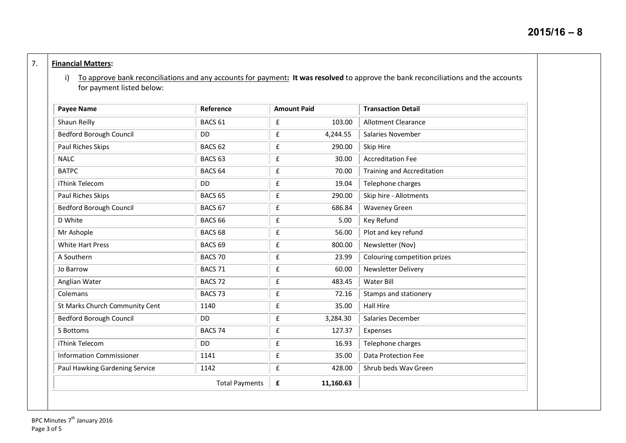## 7. **Financial Matters:**

i) To approve bank reconciliations and any accounts for payment**: It was resolved** to approve the bank reconciliations and the accounts for payment listed below:

| <b>Payee Name</b>               | Reference             | <b>Amount Paid</b>             | <b>Transaction Detail</b>    |
|---------------------------------|-----------------------|--------------------------------|------------------------------|
| Shaun Reilly                    | BACS <sub>61</sub>    | £<br>103.00                    | <b>Allotment Clearance</b>   |
| <b>Bedford Borough Council</b>  | DD                    | $\pmb{\mathsf{f}}$<br>4,244.55 | Salaries November            |
| Paul Riches Skips               | BACS <sub>62</sub>    | £<br>290.00                    | Skip Hire                    |
| <b>NALC</b>                     | BACS <sub>63</sub>    | $\pmb{\mathsf{f}}$<br>30.00    | <b>Accreditation Fee</b>     |
| <b>BATPC</b>                    | BACS <sub>64</sub>    | £<br>70.00                     | Training and Accreditation   |
| iThink Telecom                  | <b>DD</b>             | £<br>19.04                     | Telephone charges            |
| Paul Riches Skips               | BACS <sub>65</sub>    | £<br>290.00                    | Skip hire - Allotments       |
| <b>Bedford Borough Council</b>  | BACS 67               | £<br>686.84                    | <b>Waveney Green</b>         |
| D White                         | BACS <sub>66</sub>    | $\pmb{\mathsf{f}}$<br>5.00     | Key Refund                   |
| Mr Ashople                      | BACS <sub>68</sub>    | $\pmb{\mathsf{f}}$<br>56.00    | Plot and key refund          |
| <b>White Hart Press</b>         | BACS <sub>69</sub>    | £<br>800.00                    | Newsletter (Nov)             |
| A Southern                      | BACS 70               | $\pmb{\mathsf{f}}$<br>23.99    | Colouring competition prizes |
| Jo Barrow                       | BACS 71               | £<br>60.00                     | Newsletter Delivery          |
| Anglian Water                   | BACS <sub>72</sub>    | £<br>483.45                    | Water Bill                   |
| Colemans                        | BACS <sub>73</sub>    | £<br>72.16                     | Stamps and stationery        |
| St Marks Church Community Cent  | 1140                  | £<br>35.00                     | <b>Hall Hire</b>             |
| <b>Bedford Borough Council</b>  | DD                    | £<br>3,284.30                  | Salaries December            |
| S Bottoms                       | BACS 74               | $\pmb{\mathsf{f}}$<br>127.37   | Expenses                     |
| iThink Telecom                  | <b>DD</b>             | £<br>16.93                     | Telephone charges            |
| <b>Information Commissioner</b> | 1141                  | $\pmb{\mathsf{f}}$<br>35.00    | Data Protection Fee          |
| Paul Hawking Gardening Service  | 1142                  | $\pmb{\mathsf{f}}$<br>428.00   | Shrub beds Wav Green         |
|                                 | <b>Total Payments</b> | 11,160.63<br>£                 |                              |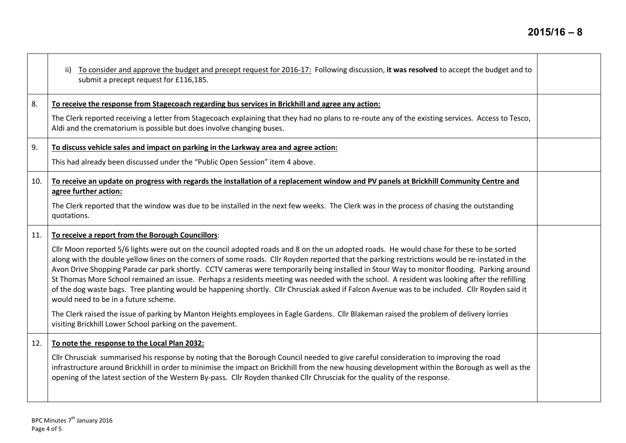$\top$ 

|     | To consider and approve the budget and precept request for 2016-17: Following discussion, it was resolved to accept the budget and to<br>ii)<br>submit a precept request for £116,185.                                                                                                                                                                                                                                                                                                                                                                                                                                                                                                                                                                                              |  |
|-----|-------------------------------------------------------------------------------------------------------------------------------------------------------------------------------------------------------------------------------------------------------------------------------------------------------------------------------------------------------------------------------------------------------------------------------------------------------------------------------------------------------------------------------------------------------------------------------------------------------------------------------------------------------------------------------------------------------------------------------------------------------------------------------------|--|
| 8.  | To receive the response from Stagecoach regarding bus services in Brickhill and agree any action:                                                                                                                                                                                                                                                                                                                                                                                                                                                                                                                                                                                                                                                                                   |  |
|     | The Clerk reported receiving a letter from Stagecoach explaining that they had no plans to re-route any of the existing services. Access to Tesco,<br>Aldi and the crematorium is possible but does involve changing buses.                                                                                                                                                                                                                                                                                                                                                                                                                                                                                                                                                         |  |
| 9.  | To discuss vehicle sales and impact on parking in the Larkway area and agree action:                                                                                                                                                                                                                                                                                                                                                                                                                                                                                                                                                                                                                                                                                                |  |
|     | This had already been discussed under the "Public Open Session" item 4 above.                                                                                                                                                                                                                                                                                                                                                                                                                                                                                                                                                                                                                                                                                                       |  |
| 10. | To receive an update on progress with regards the installation of a replacement window and PV panels at Brickhill Community Centre and<br>agree further action:                                                                                                                                                                                                                                                                                                                                                                                                                                                                                                                                                                                                                     |  |
|     | The Clerk reported that the window was due to be installed in the next few weeks. The Clerk was in the process of chasing the outstanding<br>quotations.                                                                                                                                                                                                                                                                                                                                                                                                                                                                                                                                                                                                                            |  |
| 11. | To receive a report from the Borough Councillors:                                                                                                                                                                                                                                                                                                                                                                                                                                                                                                                                                                                                                                                                                                                                   |  |
|     | Cllr Moon reported 5/6 lights were out on the council adopted roads and 8 on the un adopted roads. He would chase for these to be sorted<br>along with the double yellow lines on the corners of some roads. Cllr Royden reported that the parking restrictions would be re-instated in the<br>Avon Drive Shopping Parade car park shortly. CCTV cameras were temporarily being installed in Stour Way to monitor flooding. Parking around<br>St Thomas More School remained an issue. Perhaps a residents meeting was needed with the school. A resident was looking after the refilling<br>of the dog waste bags. Tree planting would be happening shortly. Cllr Chrusciak asked if Falcon Avenue was to be included. Cllr Royden said it<br>would need to be in a future scheme. |  |
|     | The Clerk raised the issue of parking by Manton Heights employees in Eagle Gardens. Cllr Blakeman raised the problem of delivery lorries<br>visiting Brickhill Lower School parking on the pavement.                                                                                                                                                                                                                                                                                                                                                                                                                                                                                                                                                                                |  |
| 12. | To note the response to the Local Plan 2032:                                                                                                                                                                                                                                                                                                                                                                                                                                                                                                                                                                                                                                                                                                                                        |  |
|     | Cllr Chrusciak summarised his response by noting that the Borough Council needed to give careful consideration to improving the road<br>infrastructure around Brickhill in order to minimise the impact on Brickhill from the new housing development within the Borough as well as the<br>opening of the latest section of the Western By-pass. Cllr Royden thanked Cllr Chrusciak for the quality of the response.                                                                                                                                                                                                                                                                                                                                                                |  |

 $\blacksquare$ 

┱